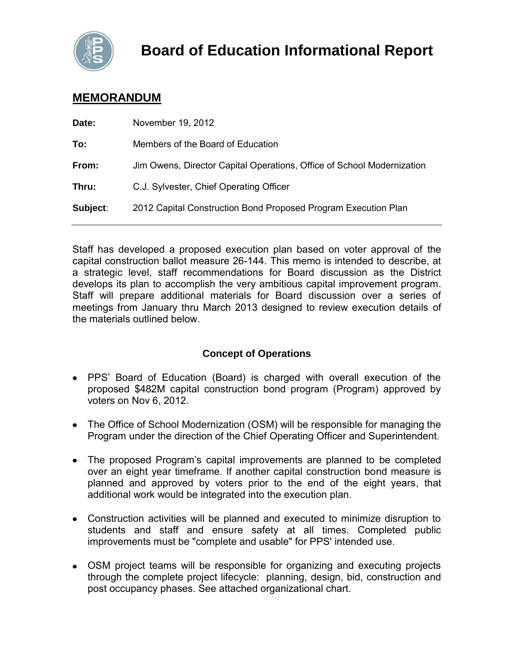

# **MEMORANDUM**

| Date:    | November 19, 2012                                                      |
|----------|------------------------------------------------------------------------|
| To:      | Members of the Board of Education                                      |
| From:    | Jim Owens, Director Capital Operations, Office of School Modernization |
| Thru:    | C.J. Sylvester, Chief Operating Officer                                |
| Subject: | 2012 Capital Construction Bond Proposed Program Execution Plan         |
|          |                                                                        |

Staff has developed a proposed execution plan based on voter approval of the capital construction ballot measure 26-144. This memo is intended to describe, at a strategic level, staff recommendations for Board discussion as the District develops its plan to accomplish the very ambitious capital improvement program. Staff will prepare additional materials for Board discussion over a series of meetings from January thru March 2013 designed to review execution details of the materials outlined below.

## **Concept of Operations**

- PPS' Board of Education (Board) is charged with overall execution of the proposed \$482M capital construction bond program (Program) approved by voters on Nov 6, 2012.
- The Office of School Modernization (OSM) will be responsible for managing the Program under the direction of the Chief Operating Officer and Superintendent.
- The proposed Program's capital improvements are planned to be completed over an eight year timeframe. If another capital construction bond measure is planned and approved by voters prior to the end of the eight years, that additional work would be integrated into the execution plan.
- Construction activities will be planned and executed to minimize disruption to students and staff and ensure safety at all times. Completed public improvements must be "complete and usable" for PPS' intended use.
- OSM project teams will be responsible for organizing and executing projects through the complete project lifecycle: planning, design, bid, construction and post occupancy phases. See attached organizational chart.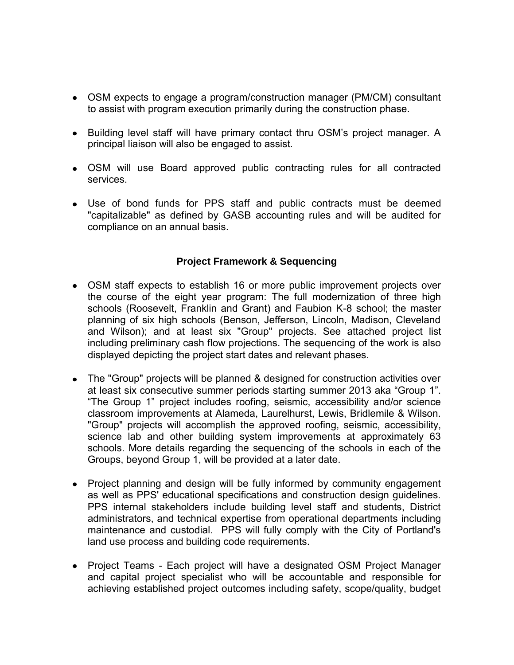- OSM expects to engage a program/construction manager (PM/CM) consultant to assist with program execution primarily during the construction phase.
- Building level staff will have primary contact thru OSM's project manager. A principal liaison will also be engaged to assist.
- OSM will use Board approved public contracting rules for all contracted services.
- Use of bond funds for PPS staff and public contracts must be deemed "capitalizable" as defined by GASB accounting rules and will be audited for compliance on an annual basis.

### **Project Framework & Sequencing**

- OSM staff expects to establish 16 or more public improvement projects over the course of the eight year program: The full modernization of three high schools (Roosevelt, Franklin and Grant) and Faubion K-8 school; the master planning of six high schools (Benson, Jefferson, Lincoln, Madison, Cleveland and Wilson); and at least six "Group" projects. See attached project list including preliminary cash flow projections. The sequencing of the work is also displayed depicting the project start dates and relevant phases.
- The "Group" projects will be planned & designed for construction activities over at least six consecutive summer periods starting summer 2013 aka "Group 1". "The Group 1" project includes roofing, seismic, accessibility and/or science classroom improvements at Alameda, Laurelhurst, Lewis, Bridlemile & Wilson. "Group" projects will accomplish the approved roofing, seismic, accessibility, science lab and other building system improvements at approximately 63 schools. More details regarding the sequencing of the schools in each of the Groups, beyond Group 1, will be provided at a later date.
- Project planning and design will be fully informed by community engagement as well as PPS' educational specifications and construction design guidelines. PPS internal stakeholders include building level staff and students, District administrators, and technical expertise from operational departments including maintenance and custodial. PPS will fully comply with the City of Portland's land use process and building code requirements.
- Project Teams Each project will have a designated OSM Project Manager and capital project specialist who will be accountable and responsible for achieving established project outcomes including safety, scope/quality, budget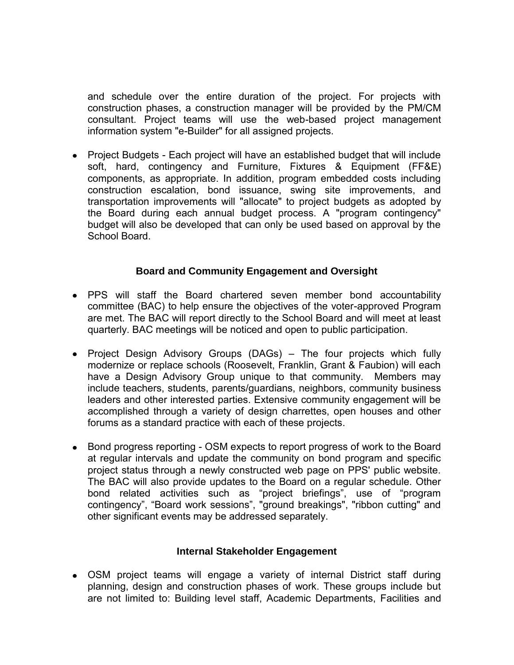and schedule over the entire duration of the project. For projects with construction phases, a construction manager will be provided by the PM/CM consultant. Project teams will use the web-based project management information system "e-Builder" for all assigned projects.

• Project Budgets - Each project will have an established budget that will include soft, hard, contingency and Furniture, Fixtures & Equipment (FF&E) components, as appropriate. In addition, program embedded costs including construction escalation, bond issuance, swing site improvements, and transportation improvements will "allocate" to project budgets as adopted by the Board during each annual budget process. A "program contingency" budget will also be developed that can only be used based on approval by the School Board.

#### **Board and Community Engagement and Oversight**

- PPS will staff the Board chartered seven member bond accountability committee (BAC) to help ensure the objectives of the voter-approved Program are met. The BAC will report directly to the School Board and will meet at least quarterly. BAC meetings will be noticed and open to public participation.
- Project Design Advisory Groups (DAGs) The four projects which fully modernize or replace schools (Roosevelt, Franklin, Grant & Faubion) will each have a Design Advisory Group unique to that community. Members may include teachers, students, parents/guardians, neighbors, community business leaders and other interested parties. Extensive community engagement will be accomplished through a variety of design charrettes, open houses and other forums as a standard practice with each of these projects.
- Bond progress reporting OSM expects to report progress of work to the Board at regular intervals and update the community on bond program and specific project status through a newly constructed web page on PPS' public website. The BAC will also provide updates to the Board on a regular schedule. Other bond related activities such as "project briefings", use of "program contingency", "Board work sessions", "ground breakings", "ribbon cutting" and other significant events may be addressed separately.

#### **Internal Stakeholder Engagement**

OSM project teams will engage a variety of internal District staff during planning, design and construction phases of work. These groups include but are not limited to: Building level staff, Academic Departments, Facilities and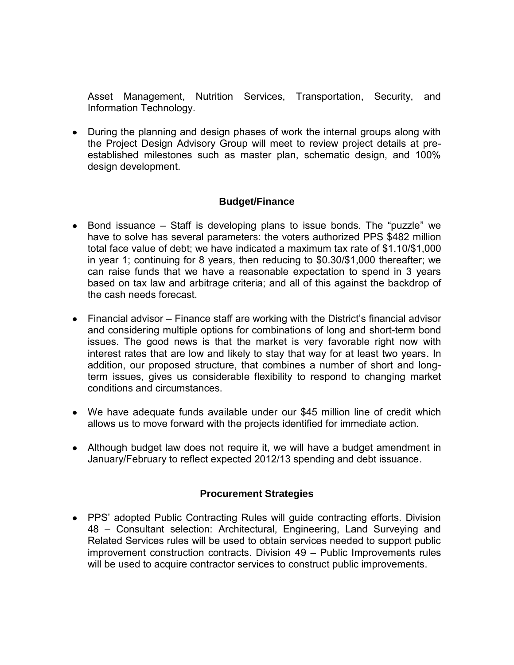Asset Management, Nutrition Services, Transportation, Security, and Information Technology.

• During the planning and design phases of work the internal groups along with the Project Design Advisory Group will meet to review project details at preestablished milestones such as master plan, schematic design, and 100% design development.

### **Budget/Finance**

- Bond issuance Staff is developing plans to issue bonds. The "puzzle" we have to solve has several parameters: the voters authorized PPS \$482 million total face value of debt; we have indicated a maximum tax rate of \$1.10/\$1,000 in year 1; continuing for 8 years, then reducing to \$0.30/\$1,000 thereafter; we can raise funds that we have a reasonable expectation to spend in 3 years based on tax law and arbitrage criteria; and all of this against the backdrop of the cash needs forecast.
- Financial advisor Finance staff are working with the District's financial advisor and considering multiple options for combinations of long and short-term bond issues. The good news is that the market is very favorable right now with interest rates that are low and likely to stay that way for at least two years. In addition, our proposed structure, that combines a number of short and longterm issues, gives us considerable flexibility to respond to changing market conditions and circumstances.
- We have adequate funds available under our \$45 million line of credit which allows us to move forward with the projects identified for immediate action.
- Although budget law does not require it, we will have a budget amendment in January/February to reflect expected 2012/13 spending and debt issuance.

#### **Procurement Strategies**

• PPS' adopted Public Contracting Rules will guide contracting efforts. Division 48 – Consultant selection: Architectural, Engineering, Land Surveying and Related Services rules will be used to obtain services needed to support public improvement construction contracts. Division 49 – Public Improvements rules will be used to acquire contractor services to construct public improvements.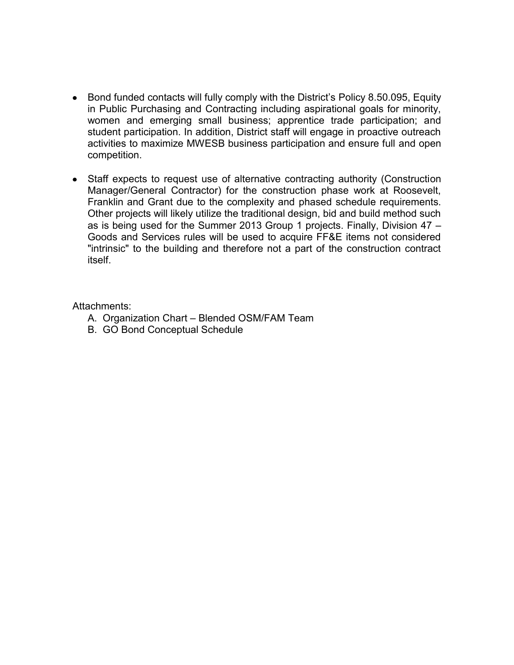- Bond funded contacts will fully comply with the District's Policy 8.50.095, Equity in Public Purchasing and Contracting including aspirational goals for minority, women and emerging small business; apprentice trade participation; and student participation. In addition, District staff will engage in proactive outreach activities to maximize MWESB business participation and ensure full and open competition.
- Staff expects to request use of alternative contracting authority (Construction Manager/General Contractor) for the construction phase work at Roosevelt, Franklin and Grant due to the complexity and phased schedule requirements. Other projects will likely utilize the traditional design, bid and build method such as is being used for the Summer 2013 Group 1 projects. Finally, Division 47 – Goods and Services rules will be used to acquire FF&E items not considered "intrinsic" to the building and therefore not a part of the construction contract itself.

Attachments:

- A. Organization Chart Blended OSM/FAM Team
- B. GO Bond Conceptual Schedule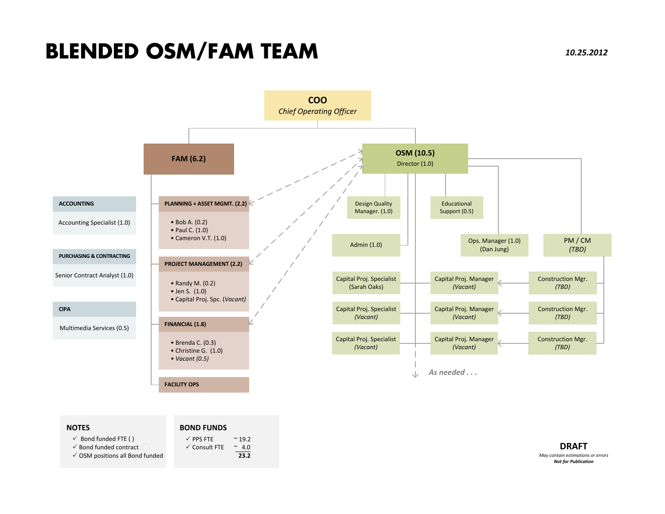# **BLENDED OSM/FAM TEAM**



| $\checkmark$ Bond funded FTE ()   | $\checkmark$ PPS FTE     | $~^{\sim}$ 19.2 |
|-----------------------------------|--------------------------|-----------------|
| $\checkmark$ Bond funded contract | $\checkmark$ Consult FTE | $^{\sim}$ 4.0   |
| √ OSM positions all Bond funded   |                          | 23.2            |